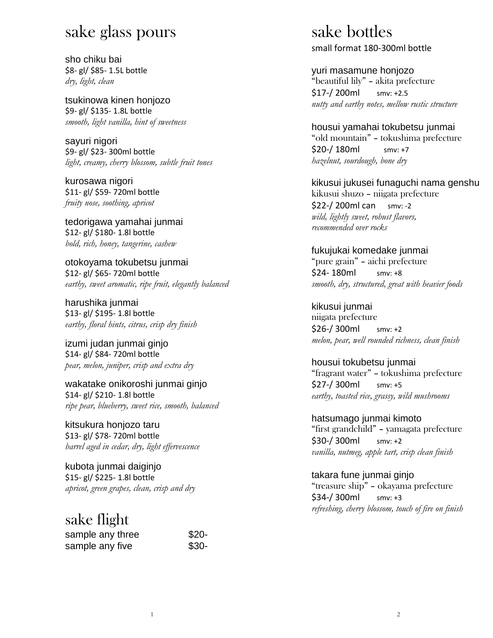## sake glass pours

sho chiku bai \$8- gl/ \$85- 1.5L bottle *dry, light, clean*

tsukinowa kinen honjozo \$9- gl/ \$135- 1.8L bottle *smooth, light vanilla, hint of sweetness*

sayuri nigori \$9- gl/ \$23- 300ml bottle *light, creamy, cherry blossom, subtle fruit tones*

kurosawa nigori \$11- gl/ \$59- 720ml bottle *fruity nose, soothing, apricot*

tedorigawa yamahai junmai \$12- gl/ \$180- 1.8l bottle *bold, rich, honey, tangerine, cashew*

otokoyama tokubetsu junmai \$12- gl/ \$65- 720ml bottle *earthy, sweet aromatic, ripe fruit, elegantly balanced*

harushika junmai \$13- gl/ \$195- 1.8l bottle *earthy, floral hints, citrus, crisp dry finish*

izumi judan junmai ginjo \$14- gl/ \$84- 720ml bottle *pear, melon, juniper, crisp and extra dry*

wakatake onikoroshi junmai ginjo \$14- gl/ \$210- 1.8l bottle *ripe pear, blueberry, sweet rice, smooth, balanced*

kitsukura honjozo taru \$13- gl/ \$78- 720ml bottle *barrel aged in cedar, dry, light effervescence*

kubota junmai daiginjo \$15- gl/ \$225- 1.8l bottle *apricot, green grapes, clean, crisp and dry*

### sake flight

| sample any three | $$20-$ |
|------------------|--------|
| sample any five  | $$30-$ |

1

## sake bottles

small format 180-300ml bottle

yuri masamune honjozo

"beautiful lily" – akita prefecture \$17-/ 200ml smv: +2.5 *nutty and earthy notes, mellow rustic structure*

housui yamahai tokubetsu junmai "old mountain" – tokushima prefecture \$20-/ 180ml smv: +7 *hazelnut, sourdough, bone dry*

kikusui jukusei funaguchi nama genshu kikusui shuzo – niigata prefecture \$22-/ 200ml can smv: -2 *wild, lightly sweet, robust flavors, recommended over rocks*

fukujukai komedake junmai "pure grain" – aichi prefecture \$24- 180ml smv: +8 *smooth, dry, structured, great with heavier foods*

kikusui junmai niigata prefecture \$26-/ 300ml smv: +2 *melon, pear, well rounded richness, clean finish*

housui tokubetsu junmai "fragrant water" – tokushima prefecture \$27-/ 300ml smv: +5 *earthy, toasted rice, grassy, wild mushrooms*

hatsumago junmai kimoto "first grandchild" – yamagata prefecture \$30-/ 300ml smv: +2 *vanilla, nutmeg, apple tart, crisp clean finish*

takara fune junmai ginjo "treasure ship" – okayama prefecture \$34-/ 300ml smv: +3 *refreshing, cherry blossom, touch of fire on finish*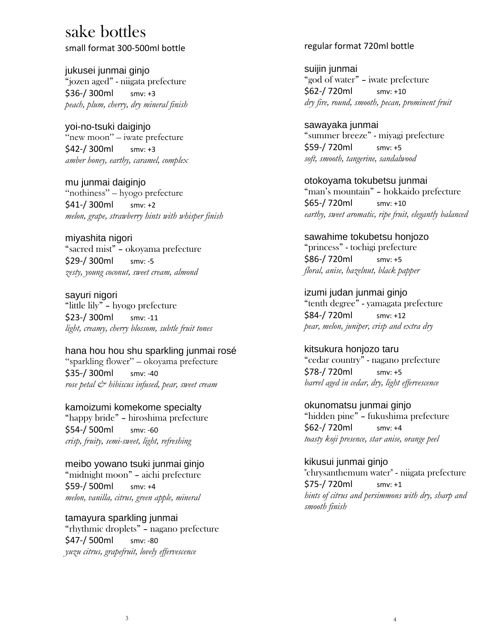### sake bottles

small format 300-500ml bottle

jukusei junmai ginjo "jozen aged" - niigata prefecture \$36-/ 300ml smv: +3 *peach, plum, cherry, dry mineral finish*

yoi-no-tsuki daiginjo "new moon" – iwate prefecture \$42-/ 300ml smv: +3 *amber honey, earthy, caramel, complex*

mu junmai daiginjo "nothiness" – hyogo prefecture \$41-/ 300ml smv: +2 *melon, grape, strawberry hints with whisper finish*

miyashita nigori "sacred mist" – okoyama prefecture \$29-/ 300ml smv: -5 *zesty, young coconut, sweet cream, almond*

sayuri nigori "little lily" – hyogo prefecture \$23-/ 300ml smv: -11 *light, creamy, cherry blossom, subtle fruit tones*

#### hana hou hou shu sparkling junmai rosé

"sparkling flower" – okoyama prefecture \$35-/ 300ml smv: -40 *rose petal & hibiscus infused, pear, sweet cream*

kamoizumi komekome specialty "happy bride" – hiroshima prefecture \$54-/ 500ml smv: -60 *crisp, fruity, semi-sweet, light, refreshing*

meibo yowano tsuki junmai ginjo "midnight moon" – aichi prefecture \$59-/ 500ml smv: +4 *melon, vanilla, citrus, green apple, mineral*

tamayura sparkling junmai "rhythmic droplets" – nagano prefecture \$47-/ 500ml smv: -80 *yuzu citrus, grapefruit, lovely effervescence* 

#### regular format 720ml bottle

suijin junmai "god of water" – iwate prefecture \$62-/ 720ml smv: +10 *dry fire, round, smooth, pecan, prominent fruit*

sawayaka junmai "summer breeze" - miyagi prefecture \$59-/ 720ml smv: +5 *soft, smooth, tangerine, sandalwood*

otokoyama tokubetsu junmai "man's mountain" – hokkaido prefecture \$65-/ 720ml smv: +10 *earthy, sweet aromatic, ripe fruit, elegantly balanced*

#### sawahime tokubetsu honjozo

"princess" - tochigi prefecture \$86-/ 720ml smv: +5 *floral, anise, hazelnut, black papper*

izumi judan junmai ginjo "tenth degree" - yamagata prefecture \$84-/ 720ml smv: +12 *pear, melon, juniper, crisp and extra dry*

#### kitsukura honjozo taru

"cedar country" - nagano prefecture \$78-/ 720ml smv: +5 *barrel aged in cedar, dry, light effervescence*

okunomatsu junmai ginjo "hidden pine" – fukushima prefecture \$62-/ 720ml smv: +4 *toasty koji presence, star anise, orange peel*

kikusui junmai ginjo

"chrysanthemum water" - niigata prefecture \$75-/ 720ml smv: +1 *hints of citrus and persimmons with dry, sharp and smooth finish*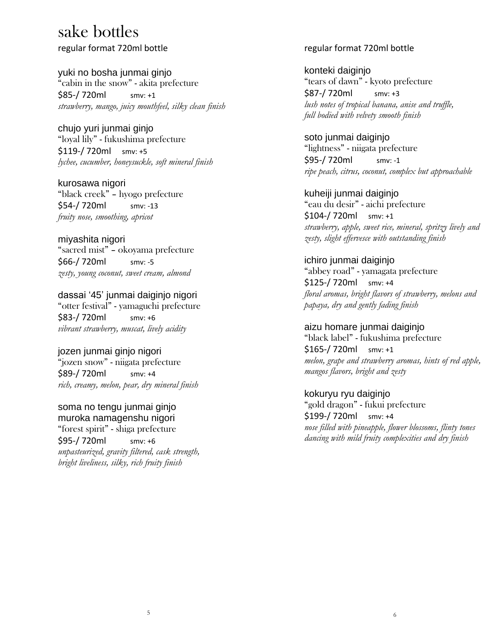# sake bottles

regular format 720ml bottle

yuki no bosha junmai ginjo "cabin in the snow" - akita prefecture \$85-/ 720ml smv: +1 *strawberry, mango, juicy mouthfeel, silky clean finish*

chujo yuri junmai ginjo "loyal lily" - fukushima prefecture \$119-/ 720ml smv: +5 *lychee, cucumber, honeysuckle, soft mineral finish*

kurosawa nigori "black creek" – hyogo prefecture \$54-/ 720ml smv: -13 *fruity nose, smoothing, apricot*

#### miyashita nigori "sacred mist" – okoyama prefecture \$66-/ 720ml smv: -5 *zesty, young coconut, sweet cream, almond*

dassai '45' junmai daiginjo nigori "otter festival" - yamaguchi prefecture \$83-/ 720ml smv: +6 *vibrant strawberry, muscat, lively acidity*

jozen junmai ginjo nigori "jozen snow" - niigata prefecture \$89-/ 720ml smv: +4 *rich, creamy, melon, pear, dry mineral finish*

soma no tengu junmai ginjo muroka namagenshu nigori "forest spirit" - shiga prefecture \$95-/ 720ml smv: +6 *unpasteurized, gravity filtered, cask strength, bright liveliness, silky, rich fruity finish* 

#### regular format 720ml bottle

konteki daiginjo "tears of dawn" - kyoto prefecture \$87-/ 720ml smv: +3 *lush notes of tropical banana, anise and truffle, full bodied with velvety smooth finish*

soto junmai daiginjo "lightness" - niigata prefecture \$95-/ 720ml smv: -1 *ripe peach, citrus, coconut, complex but approachable*

kuheiji junmai daiginjo "eau du desir" - aichi prefecture \$104-/ 720ml smv: +1 *strawberry, apple, sweet rice, mineral, spritzy lively and zesty, slight effervesce with outstanding finish*

#### ichiro junmai daiginjo "abbey road" - yamagata prefecture \$125-/ 720ml smv: +4 *floral aromas, bright flavors of strawberry, melons and papaya, dry and gently fading finish*

aizu homare junmai daiginjo "black label" - fukushima prefecture \$165-/ 720ml smv: +1

*melon, grape and strawberry aromas, hints of red apple, mangos flavors, bright and zesty*

#### kokuryu ryu daiginjo

"gold dragon" - fukui prefecture \$199-/ 720ml smv: +4 *nose filled with pineapple, flower blossoms, flinty tones dancing with mild fruity complexities and dry finish*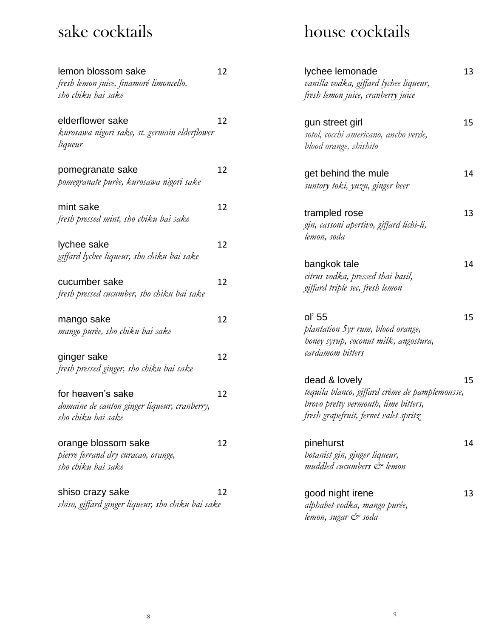# sake cocktails

| lemon blossom sake<br>fresh lemon juice, finamoré limoncello,<br>sho chiku bai sake     | 12 |
|-----------------------------------------------------------------------------------------|----|
| elderflower sake<br>kurosawa nigori sake, st. germain elderflower<br>liqueur            | 12 |
| pomegranate sake<br>pomegranate purèe, kurosawa nigori sake                             | 12 |
| mint sake<br>fresh pressed mint, sho chiku bai sake                                     | 12 |
| lychee sake<br>giffard lychee liqueur, sho chiku bai sake                               | 12 |
| cucumber sake<br>fresh pressed cucumber, sho chiku bai sake                             | 12 |
| mango sake<br>mango purèe, sho chiku bai sake                                           | 12 |
| ginger sake<br>fresh pressed ginger, sho chiku bai sake                                 | 12 |
| for heaven's sake<br>domaine de canton ginger liqueur, cranberry,<br>sho chiku bai sake | 12 |
| orange blossom sake<br>pierre ferrand dry curacao, orange,<br>sho chiku bai sake        | 12 |
| shiso crazy sake<br>shiso, giffard ginger liqueur, sho chiku bai sake                   | 12 |

# house cocktails

| lychee lemonade<br>vanilla vodka, giffard lychee liqueur,<br>fresh lemon juice, cranberry juice                                                  | 13 |
|--------------------------------------------------------------------------------------------------------------------------------------------------|----|
| gun street girl<br>sotol, cocchi americano, ancho verde,<br>blood orange, shishito                                                               | 15 |
| get behind the mule<br>suntory toki, yuzu, ginger beer                                                                                           | 14 |
| trampled rose<br>gin, cassoni apertivo, giffard lichi-li,<br>lemon, soda                                                                         | 13 |
| bangkok tale<br>citrus vodka, pressed thai basil,<br>giffard triple sec, fresh lemon                                                             | 14 |
| oľ 55<br>plantation 5yr rum, blood orange,<br>honey syrup, coconut milk, angostura,<br>cardamom bitters                                          | 15 |
| dead & lovely<br>tequila blanco, giffard crème de pamplemousse,<br>brovo pretty vermouth, lime bitters,<br>fresh grapefruit, fernet valet spritz | 15 |
| pinehurst<br>botanist gin, ginger liqueur,<br>muddled cucumbers & lemon                                                                          | 14 |
| good night irene<br>alphabet vodka, mango purée,                                                                                                 | 13 |

*lemon, sugar & soda*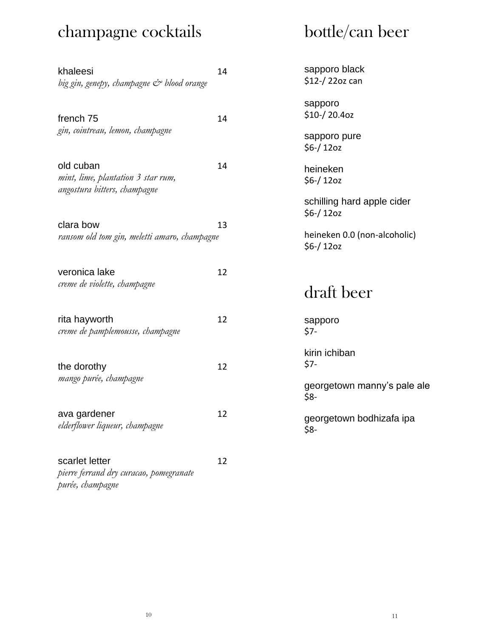## champagne cocktails

# bottle/can beer

| khaleesi<br>big gin, genepy, champagne & blood orange                           | 14 |
|---------------------------------------------------------------------------------|----|
| french <sub>75</sub><br>gin, cointreau, lemon, champagne                        | 14 |
| old cuban<br>mint, lime, plantation 3 star rum,<br>angostura bitters, champagne | 14 |
| clara bow<br>ransom old tom gin, meletti amaro, champagne                       | 13 |
| veronica lake<br>creme de violette, champagne                                   | 12 |
| rita hayworth<br>creme de pamplemousse, champagne                               | 12 |
| the dorothy<br>mango purée, champagne                                           | 12 |
| ava gardener<br>elderflower liqueur, champagne                                  | 12 |
| scarlet letter<br>pierre ferrand dry curacao, pomegranate<br>purée, champagne   | 12 |

sapporo black \$12-/ 22oz can

sapporo \$10-/ 20.4oz

sapporo pure \$6-/ 12oz

heineken \$6-/ 12oz

schilling hard apple cider \$6-/ 12oz

heineken 0.0 (non-alcoholic) \$6-/ 12oz

draft beer

sapporo \$7-

kirin ichiban \$7-

georgetown manny's pale ale \$8-

georgetown bodhizafa ipa \$8-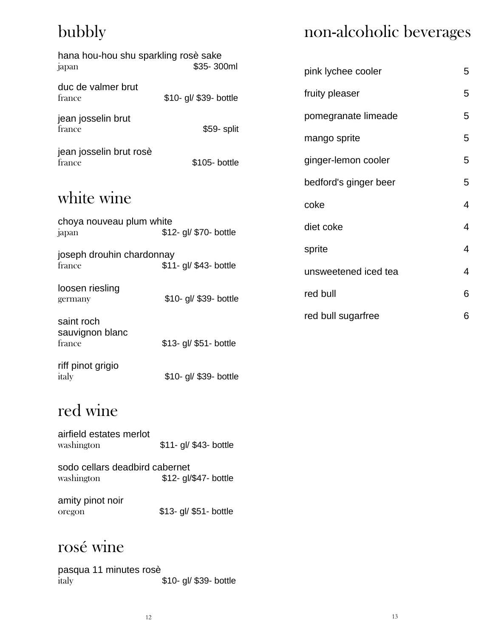# bubbly

# non-alcoholic beverages

| hana hou-hou shu sparkling rosè sake |                        |                       |                |
|--------------------------------------|------------------------|-----------------------|----------------|
| japan                                | \$35-300ml             | pink lychee cooler    | 5              |
| duc de valmer brut<br>france         | \$10- gl/ \$39- bottle | fruity pleaser        | 5              |
| jean josselin brut                   |                        | pomegranate limeade   | 5              |
| france                               | \$59- split            | mango sprite          | 5              |
| jean josselin brut rosè<br>france    | \$105- bottle          | ginger-lemon cooler   | 5              |
|                                      |                        | bedford's ginger beer | 5              |
| white wine                           |                        | coke                  | $\overline{4}$ |
| choya nouveau plum white<br>japan    | \$12- gl/ \$70- bottle | diet coke             | 4              |
| joseph drouhin chardonnay            |                        | sprite                | $\overline{4}$ |
| france                               | \$11- gl/ \$43- bottle | unsweetened iced tea  | $\overline{4}$ |
| loosen riesling<br>germany           | \$10- gl/ \$39- bottle | red bull              | 6              |
| saint roch                           |                        | red bull sugarfree    | 6              |
| sauvignon blanc<br>france            | \$13- gl/ \$51- bottle |                       |                |
| riff pinot grigio<br>italy           | \$10- gl/ \$39- bottle |                       |                |
|                                      |                        |                       |                |

## red wine

| airfield estates merlot |                        |
|-------------------------|------------------------|
| washington              | \$11- gl/ \$43- bottle |

sodo cellars deadbird cabernet washington \$12- gl/\$47- bottle

amity pinot noir oregon \$13- gl/ \$51- bottle

# rosé wine

pasqua 11 minutes rosè italy **\$10- gl/ \$39- bottle**